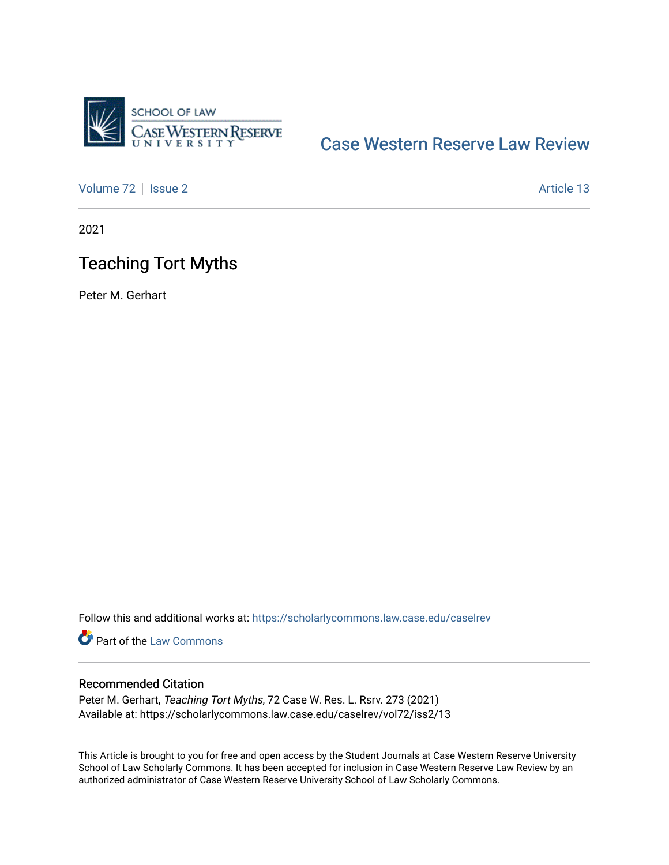

# [Case Western Reserve Law Review](https://scholarlycommons.law.case.edu/caselrev)

[Volume 72](https://scholarlycommons.law.case.edu/caselrev/vol72) | [Issue 2](https://scholarlycommons.law.case.edu/caselrev/vol72/iss2) Article 13

2021

# Teaching Tort Myths

Peter M. Gerhart

Follow this and additional works at: [https://scholarlycommons.law.case.edu/caselrev](https://scholarlycommons.law.case.edu/caselrev?utm_source=scholarlycommons.law.case.edu%2Fcaselrev%2Fvol72%2Fiss2%2F13&utm_medium=PDF&utm_campaign=PDFCoverPages)

Part of the [Law Commons](https://network.bepress.com/hgg/discipline/578?utm_source=scholarlycommons.law.case.edu%2Fcaselrev%2Fvol72%2Fiss2%2F13&utm_medium=PDF&utm_campaign=PDFCoverPages)

## Recommended Citation

Peter M. Gerhart, Teaching Tort Myths, 72 Case W. Res. L. Rsrv. 273 (2021) Available at: https://scholarlycommons.law.case.edu/caselrev/vol72/iss2/13

This Article is brought to you for free and open access by the Student Journals at Case Western Reserve University School of Law Scholarly Commons. It has been accepted for inclusion in Case Western Reserve Law Review by an authorized administrator of Case Western Reserve University School of Law Scholarly Commons.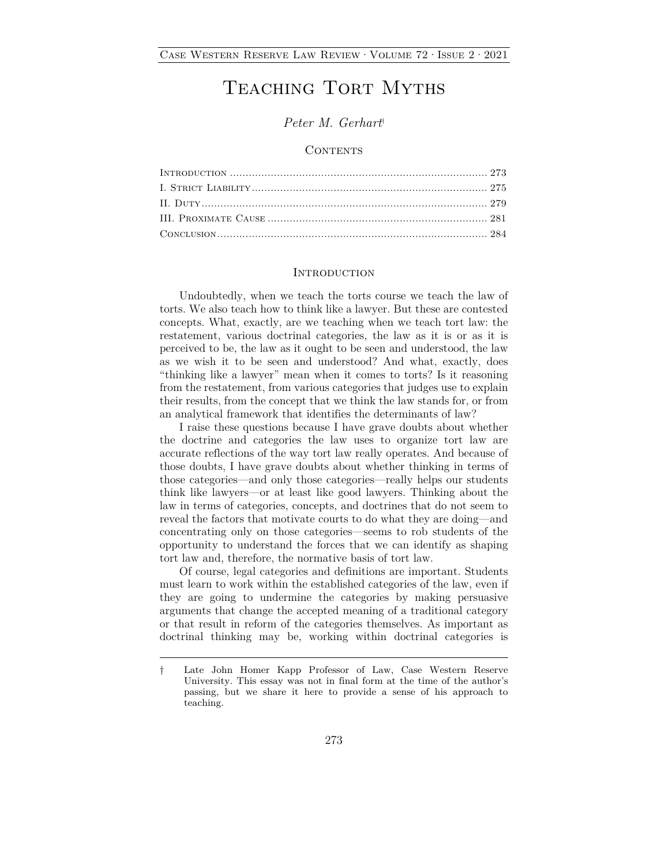# TEACHING TORT MYTHS

## *Peter M. Gerhart*†

### **CONTENTS**

#### **INTRODUCTION**

Undoubtedly, when we teach the torts course we teach the law of torts. We also teach how to think like a lawyer. But these are contested concepts. What, exactly, are we teaching when we teach tort law: the restatement, various doctrinal categories, the law as it is or as it is perceived to be, the law as it ought to be seen and understood, the law as we wish it to be seen and understood? And what, exactly, does "thinking like a lawyer" mean when it comes to torts? Is it reasoning from the restatement, from various categories that judges use to explain their results, from the concept that we think the law stands for, or from an analytical framework that identifies the determinants of law?

I raise these questions because I have grave doubts about whether the doctrine and categories the law uses to organize tort law are accurate reflections of the way tort law really operates. And because of those doubts, I have grave doubts about whether thinking in terms of those categories—and only those categories—really helps our students think like lawyers—or at least like good lawyers. Thinking about the law in terms of categories, concepts, and doctrines that do not seem to reveal the factors that motivate courts to do what they are doing—and concentrating only on those categories—seems to rob students of the opportunity to understand the forces that we can identify as shaping tort law and, therefore, the normative basis of tort law.

Of course, legal categories and definitions are important. Students must learn to work within the established categories of the law, even if they are going to undermine the categories by making persuasive arguments that change the accepted meaning of a traditional category or that result in reform of the categories themselves. As important as doctrinal thinking may be, working within doctrinal categories is

<sup>†</sup> Late John Homer Kapp Professor of Law, Case Western Reserve University. This essay was not in final form at the time of the author's passing, but we share it here to provide a sense of his approach to teaching.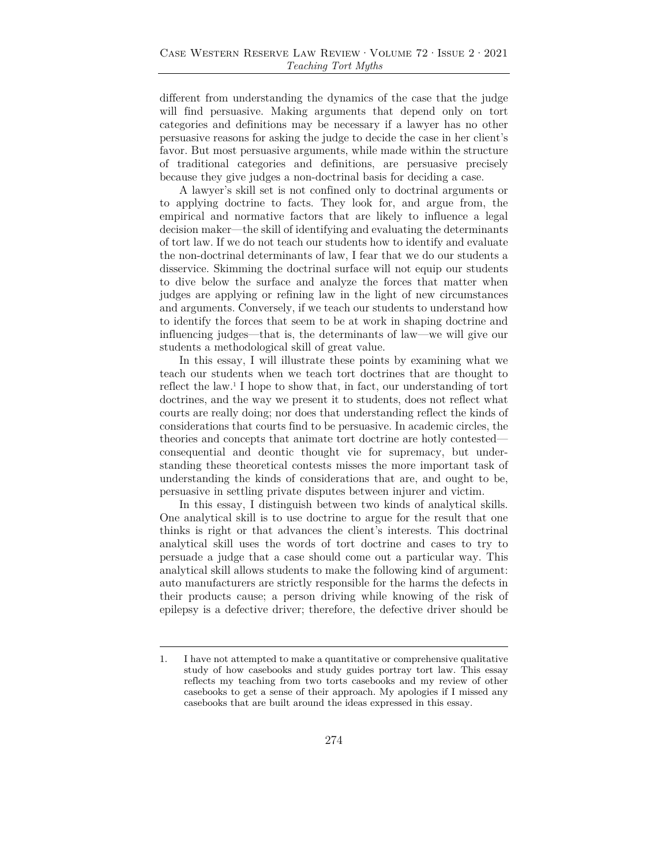different from understanding the dynamics of the case that the judge will find persuasive. Making arguments that depend only on tort categories and definitions may be necessary if a lawyer has no other persuasive reasons for asking the judge to decide the case in her client's favor. But most persuasive arguments, while made within the structure of traditional categories and definitions, are persuasive precisely because they give judges a non-doctrinal basis for deciding a case.

A lawyer's skill set is not confined only to doctrinal arguments or to applying doctrine to facts. They look for, and argue from, the empirical and normative factors that are likely to influence a legal decision maker—the skill of identifying and evaluating the determinants of tort law. If we do not teach our students how to identify and evaluate the non-doctrinal determinants of law, I fear that we do our students a disservice. Skimming the doctrinal surface will not equip our students to dive below the surface and analyze the forces that matter when judges are applying or refining law in the light of new circumstances and arguments. Conversely, if we teach our students to understand how to identify the forces that seem to be at work in shaping doctrine and influencing judges—that is, the determinants of law—we will give our students a methodological skill of great value.

In this essay, I will illustrate these points by examining what we teach our students when we teach tort doctrines that are thought to reflect the law.<sup>1</sup> I hope to show that, in fact, our understanding of tort doctrines, and the way we present it to students, does not reflect what courts are really doing; nor does that understanding reflect the kinds of considerations that courts find to be persuasive. In academic circles, the theories and concepts that animate tort doctrine are hotly contested consequential and deontic thought vie for supremacy, but understanding these theoretical contests misses the more important task of understanding the kinds of considerations that are, and ought to be, persuasive in settling private disputes between injurer and victim.

In this essay, I distinguish between two kinds of analytical skills. One analytical skill is to use doctrine to argue for the result that one thinks is right or that advances the client's interests. This doctrinal analytical skill uses the words of tort doctrine and cases to try to persuade a judge that a case should come out a particular way. This analytical skill allows students to make the following kind of argument: auto manufacturers are strictly responsible for the harms the defects in their products cause; a person driving while knowing of the risk of epilepsy is a defective driver; therefore, the defective driver should be

<sup>1.</sup> I have not attempted to make a quantitative or comprehensive qualitative study of how casebooks and study guides portray tort law. This essay reflects my teaching from two torts casebooks and my review of other casebooks to get a sense of their approach. My apologies if I missed any casebooks that are built around the ideas expressed in this essay.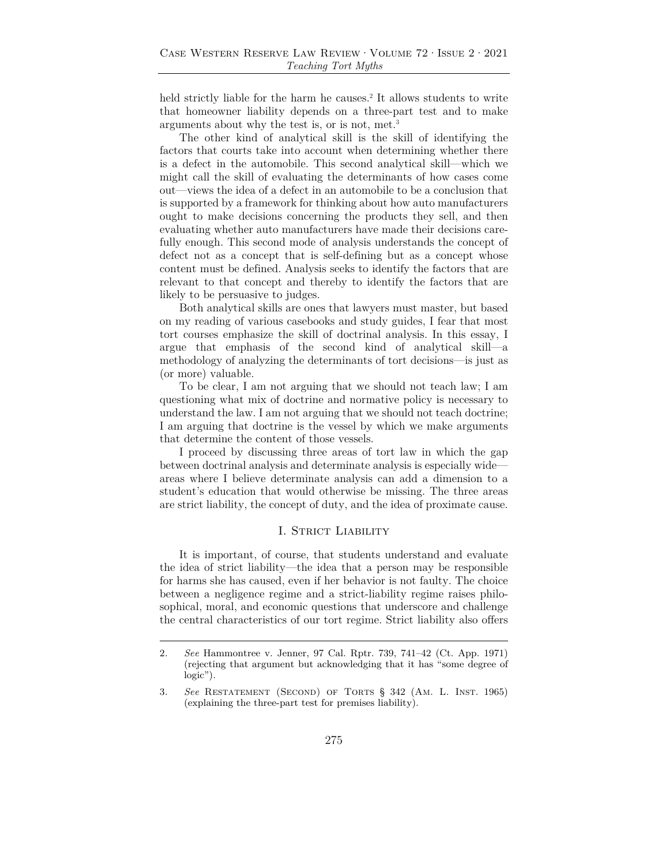held strictly liable for the harm he causes.<sup>2</sup> It allows students to write that homeowner liability depends on a three-part test and to make arguments about why the test is, or is not, met.3

The other kind of analytical skill is the skill of identifying the factors that courts take into account when determining whether there is a defect in the automobile. This second analytical skill—which we might call the skill of evaluating the determinants of how cases come out—views the idea of a defect in an automobile to be a conclusion that is supported by a framework for thinking about how auto manufacturers ought to make decisions concerning the products they sell, and then evaluating whether auto manufacturers have made their decisions carefully enough. This second mode of analysis understands the concept of defect not as a concept that is self-defining but as a concept whose content must be defined. Analysis seeks to identify the factors that are relevant to that concept and thereby to identify the factors that are likely to be persuasive to judges.

Both analytical skills are ones that lawyers must master, but based on my reading of various casebooks and study guides, I fear that most tort courses emphasize the skill of doctrinal analysis. In this essay, I argue that emphasis of the second kind of analytical skill—a methodology of analyzing the determinants of tort decisions—is just as (or more) valuable.

To be clear, I am not arguing that we should not teach law; I am questioning what mix of doctrine and normative policy is necessary to understand the law. I am not arguing that we should not teach doctrine; I am arguing that doctrine is the vessel by which we make arguments that determine the content of those vessels.

I proceed by discussing three areas of tort law in which the gap between doctrinal analysis and determinate analysis is especially wide areas where I believe determinate analysis can add a dimension to a student's education that would otherwise be missing. The three areas are strict liability, the concept of duty, and the idea of proximate cause.

### I. STRICT LIABILITY

It is important, of course, that students understand and evaluate the idea of strict liability—the idea that a person may be responsible for harms she has caused, even if her behavior is not faulty. The choice between a negligence regime and a strict-liability regime raises philosophical, moral, and economic questions that underscore and challenge the central characteristics of our tort regime. Strict liability also offers

<sup>2</sup>*. See* Hammontree v. Jenner, 97 Cal. Rptr. 739, 741–42 (Ct. App. 1971) (rejecting that argument but acknowledging that it has "some degree of logic").

<sup>3</sup>*. See* Restatement (Second) of Torts § 342 (Am. L. Inst. 1965) (explaining the three-part test for premises liability).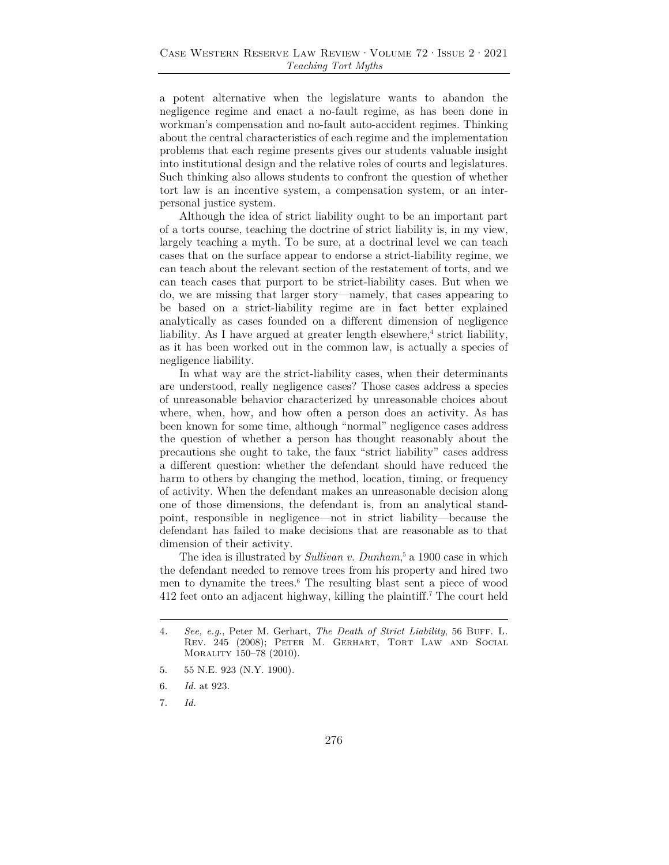a potent alternative when the legislature wants to abandon the negligence regime and enact a no-fault regime, as has been done in workman's compensation and no-fault auto-accident regimes. Thinking about the central characteristics of each regime and the implementation problems that each regime presents gives our students valuable insight into institutional design and the relative roles of courts and legislatures. Such thinking also allows students to confront the question of whether tort law is an incentive system, a compensation system, or an interpersonal justice system.

Although the idea of strict liability ought to be an important part of a torts course, teaching the doctrine of strict liability is, in my view, largely teaching a myth. To be sure, at a doctrinal level we can teach cases that on the surface appear to endorse a strict-liability regime, we can teach about the relevant section of the restatement of torts, and we can teach cases that purport to be strict-liability cases. But when we do, we are missing that larger story—namely, that cases appearing to be based on a strict-liability regime are in fact better explained analytically as cases founded on a different dimension of negligence liability. As I have argued at greater length elsewhere,<sup>4</sup> strict liability, as it has been worked out in the common law, is actually a species of negligence liability.

In what way are the strict-liability cases, when their determinants are understood, really negligence cases? Those cases address a species of unreasonable behavior characterized by unreasonable choices about where, when, how, and how often a person does an activity. As has been known for some time, although "normal" negligence cases address the question of whether a person has thought reasonably about the precautions she ought to take, the faux "strict liability" cases address a different question: whether the defendant should have reduced the harm to others by changing the method, location, timing, or frequency of activity. When the defendant makes an unreasonable decision along one of those dimensions, the defendant is, from an analytical standpoint, responsible in negligence—not in strict liability—because the defendant has failed to make decisions that are reasonable as to that dimension of their activity.

The idea is illustrated by *Sullivan v. Dunham*<sup>5</sup> a 1900 case in which the defendant needed to remove trees from his property and hired two men to dynamite the trees.6 The resulting blast sent a piece of wood 412 feet onto an adjacent highway, killing the plaintiff.7 The court held

<sup>4.</sup> See, e.g., Peter M. Gerhart, *The Death of Strict Liability*, 56 BUFF. L. Rev. 245 (2008); Peter M. Gerhart, Tort Law and Social Morality 150–78 (2010).

<sup>5. 55</sup> N.E. 923 (N.Y. 1900).

<sup>6.</sup> *Id.* at 923.

<sup>7.</sup> *Id.*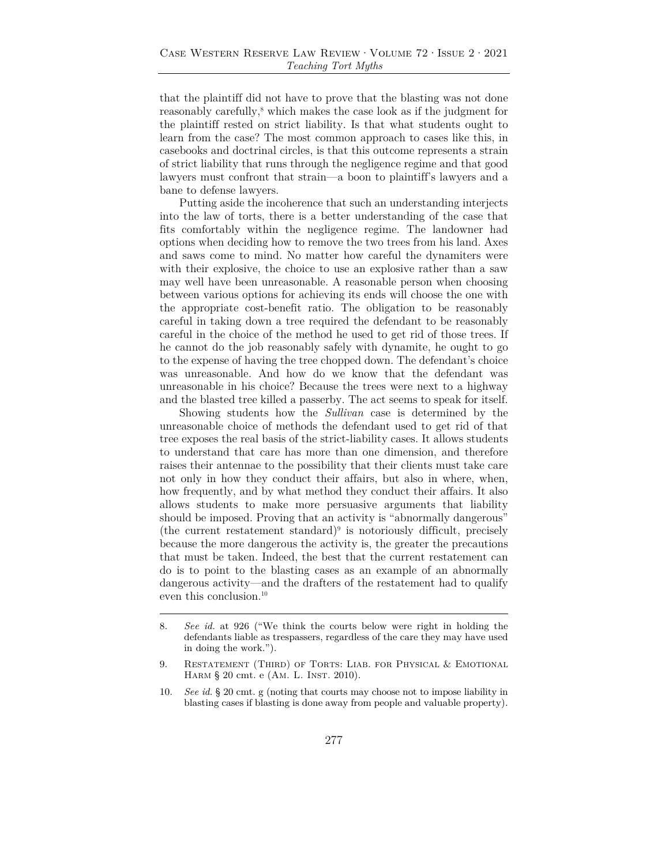that the plaintiff did not have to prove that the blasting was not done reasonably carefully,<sup>8</sup> which makes the case look as if the judgment for the plaintiff rested on strict liability. Is that what students ought to learn from the case? The most common approach to cases like this, in casebooks and doctrinal circles, is that this outcome represents a strain of strict liability that runs through the negligence regime and that good lawyers must confront that strain—a boon to plaintiff's lawyers and a bane to defense lawyers.

Putting aside the incoherence that such an understanding interjects into the law of torts, there is a better understanding of the case that fits comfortably within the negligence regime. The landowner had options when deciding how to remove the two trees from his land. Axes and saws come to mind. No matter how careful the dynamiters were with their explosive, the choice to use an explosive rather than a saw may well have been unreasonable. A reasonable person when choosing between various options for achieving its ends will choose the one with the appropriate cost-benefit ratio. The obligation to be reasonably careful in taking down a tree required the defendant to be reasonably careful in the choice of the method he used to get rid of those trees. If he cannot do the job reasonably safely with dynamite, he ought to go to the expense of having the tree chopped down. The defendant's choice was unreasonable. And how do we know that the defendant was unreasonable in his choice? Because the trees were next to a highway and the blasted tree killed a passerby. The act seems to speak for itself.

Showing students how the *Sullivan* case is determined by the unreasonable choice of methods the defendant used to get rid of that tree exposes the real basis of the strict-liability cases. It allows students to understand that care has more than one dimension, and therefore raises their antennae to the possibility that their clients must take care not only in how they conduct their affairs, but also in where, when, how frequently, and by what method they conduct their affairs. It also allows students to make more persuasive arguments that liability should be imposed. Proving that an activity is "abnormally dangerous"  $(the current restatement standard)<sup>9</sup>$  is notoriously difficult, precisely because the more dangerous the activity is, the greater the precautions that must be taken. Indeed, the best that the current restatement can do is to point to the blasting cases as an example of an abnormally dangerous activity—and the drafters of the restatement had to qualify even this conclusion.<sup>10</sup>

<sup>8.</sup> *See id.* at 926 ("We think the courts below were right in holding the defendants liable as trespassers, regardless of the care they may have used in doing the work.").

<sup>9.</sup> RESTATEMENT (THIRD) OF TORTS: LIAB. FOR PHYSICAL & EMOTIONAL HARM § 20 cmt. e (AM. L. INST. 2010).

<sup>10.</sup> *See id.* § 20 cmt. g (noting that courts may choose not to impose liability in blasting cases if blasting is done away from people and valuable property).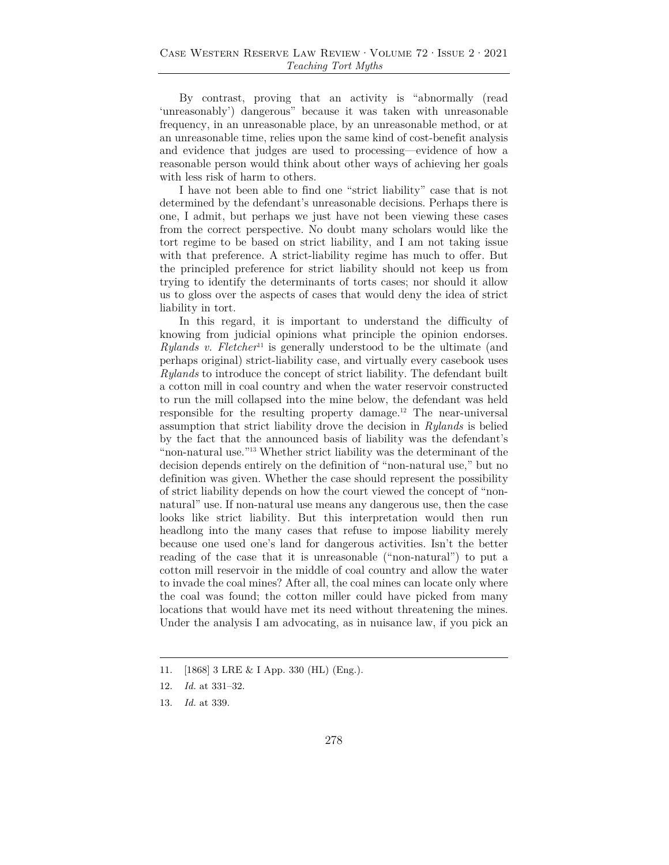By contrast, proving that an activity is "abnormally (read 'unreasonably') dangerous" because it was taken with unreasonable frequency, in an unreasonable place, by an unreasonable method, or at an unreasonable time, relies upon the same kind of cost-benefit analysis and evidence that judges are used to processing—evidence of how a reasonable person would think about other ways of achieving her goals with less risk of harm to others.

I have not been able to find one "strict liability" case that is not determined by the defendant's unreasonable decisions. Perhaps there is one, I admit, but perhaps we just have not been viewing these cases from the correct perspective. No doubt many scholars would like the tort regime to be based on strict liability, and I am not taking issue with that preference. A strict-liability regime has much to offer. But the principled preference for strict liability should not keep us from trying to identify the determinants of torts cases; nor should it allow us to gloss over the aspects of cases that would deny the idea of strict liability in tort.

In this regard, it is important to understand the difficulty of knowing from judicial opinions what principle the opinion endorses. *Rylands v. Fletcher*<sup>11</sup> is generally understood to be the ultimate (and perhaps original) strict-liability case, and virtually every casebook uses *Rylands* to introduce the concept of strict liability. The defendant built a cotton mill in coal country and when the water reservoir constructed to run the mill collapsed into the mine below, the defendant was held responsible for the resulting property damage.12 The near-universal assumption that strict liability drove the decision in *Rylands* is belied by the fact that the announced basis of liability was the defendant's "non-natural use."13 Whether strict liability was the determinant of the decision depends entirely on the definition of "non-natural use," but no definition was given. Whether the case should represent the possibility of strict liability depends on how the court viewed the concept of "nonnatural" use. If non-natural use means any dangerous use, then the case looks like strict liability. But this interpretation would then run headlong into the many cases that refuse to impose liability merely because one used one's land for dangerous activities. Isn't the better reading of the case that it is unreasonable ("non-natural") to put a cotton mill reservoir in the middle of coal country and allow the water to invade the coal mines? After all, the coal mines can locate only where the coal was found; the cotton miller could have picked from many locations that would have met its need without threatening the mines. Under the analysis I am advocating, as in nuisance law, if you pick an

<sup>11. [1868] 3</sup> LRE & I App. 330 (HL) (Eng.).

<sup>12.</sup> *Id.* at 331–32.

<sup>13.</sup> *Id.* at 339.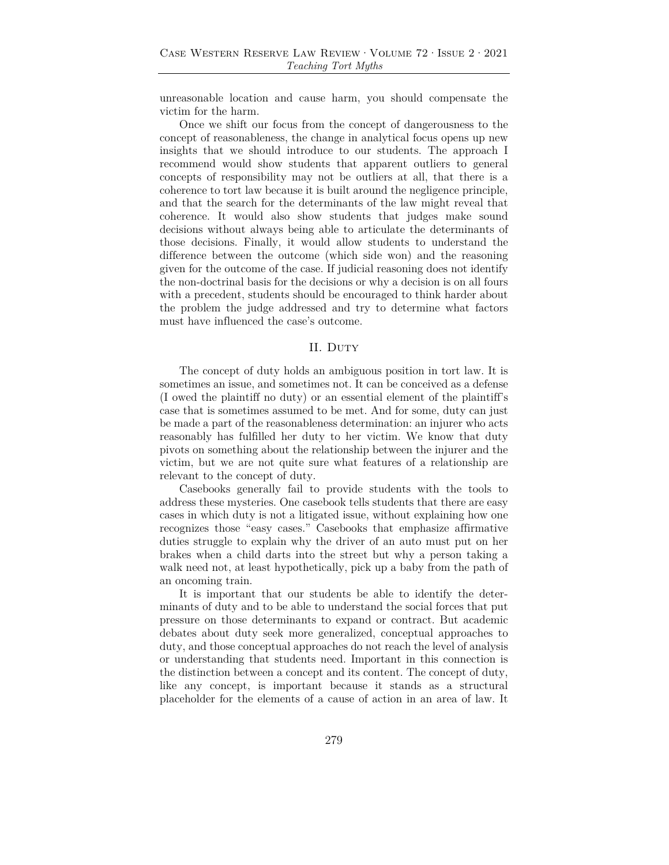unreasonable location and cause harm, you should compensate the victim for the harm.

Once we shift our focus from the concept of dangerousness to the concept of reasonableness, the change in analytical focus opens up new insights that we should introduce to our students. The approach I recommend would show students that apparent outliers to general concepts of responsibility may not be outliers at all, that there is a coherence to tort law because it is built around the negligence principle, and that the search for the determinants of the law might reveal that coherence. It would also show students that judges make sound decisions without always being able to articulate the determinants of those decisions. Finally, it would allow students to understand the difference between the outcome (which side won) and the reasoning given for the outcome of the case. If judicial reasoning does not identify the non-doctrinal basis for the decisions or why a decision is on all fours with a precedent, students should be encouraged to think harder about the problem the judge addressed and try to determine what factors must have influenced the case's outcome.

#### II. Duty

The concept of duty holds an ambiguous position in tort law. It is sometimes an issue, and sometimes not. It can be conceived as a defense (I owed the plaintiff no duty) or an essential element of the plaintiff's case that is sometimes assumed to be met. And for some, duty can just be made a part of the reasonableness determination: an injurer who acts reasonably has fulfilled her duty to her victim. We know that duty pivots on something about the relationship between the injurer and the victim, but we are not quite sure what features of a relationship are relevant to the concept of duty.

Casebooks generally fail to provide students with the tools to address these mysteries. One casebook tells students that there are easy cases in which duty is not a litigated issue, without explaining how one recognizes those "easy cases." Casebooks that emphasize affirmative duties struggle to explain why the driver of an auto must put on her brakes when a child darts into the street but why a person taking a walk need not, at least hypothetically, pick up a baby from the path of an oncoming train.

It is important that our students be able to identify the determinants of duty and to be able to understand the social forces that put pressure on those determinants to expand or contract. But academic debates about duty seek more generalized, conceptual approaches to duty, and those conceptual approaches do not reach the level of analysis or understanding that students need. Important in this connection is the distinction between a concept and its content. The concept of duty, like any concept, is important because it stands as a structural placeholder for the elements of a cause of action in an area of law. It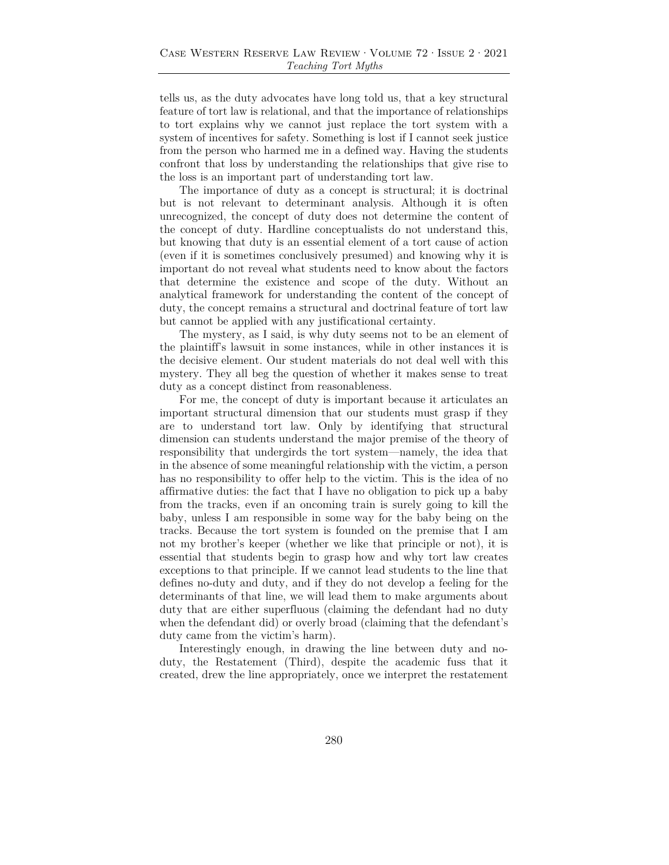tells us, as the duty advocates have long told us, that a key structural feature of tort law is relational, and that the importance of relationships to tort explains why we cannot just replace the tort system with a system of incentives for safety. Something is lost if I cannot seek justice from the person who harmed me in a defined way. Having the students confront that loss by understanding the relationships that give rise to the loss is an important part of understanding tort law.

The importance of duty as a concept is structural; it is doctrinal but is not relevant to determinant analysis. Although it is often unrecognized, the concept of duty does not determine the content of the concept of duty. Hardline conceptualists do not understand this, but knowing that duty is an essential element of a tort cause of action (even if it is sometimes conclusively presumed) and knowing why it is important do not reveal what students need to know about the factors that determine the existence and scope of the duty. Without an analytical framework for understanding the content of the concept of duty, the concept remains a structural and doctrinal feature of tort law but cannot be applied with any justificational certainty.

The mystery, as I said, is why duty seems not to be an element of the plaintiff's lawsuit in some instances, while in other instances it is the decisive element. Our student materials do not deal well with this mystery. They all beg the question of whether it makes sense to treat duty as a concept distinct from reasonableness.

For me, the concept of duty is important because it articulates an important structural dimension that our students must grasp if they are to understand tort law. Only by identifying that structural dimension can students understand the major premise of the theory of responsibility that undergirds the tort system—namely, the idea that in the absence of some meaningful relationship with the victim, a person has no responsibility to offer help to the victim. This is the idea of no affirmative duties: the fact that I have no obligation to pick up a baby from the tracks, even if an oncoming train is surely going to kill the baby, unless I am responsible in some way for the baby being on the tracks. Because the tort system is founded on the premise that I am not my brother's keeper (whether we like that principle or not), it is essential that students begin to grasp how and why tort law creates exceptions to that principle. If we cannot lead students to the line that defines no-duty and duty, and if they do not develop a feeling for the determinants of that line, we will lead them to make arguments about duty that are either superfluous (claiming the defendant had no duty when the defendant did) or overly broad (claiming that the defendant's duty came from the victim's harm).

Interestingly enough, in drawing the line between duty and noduty, the Restatement (Third), despite the academic fuss that it created, drew the line appropriately, once we interpret the restatement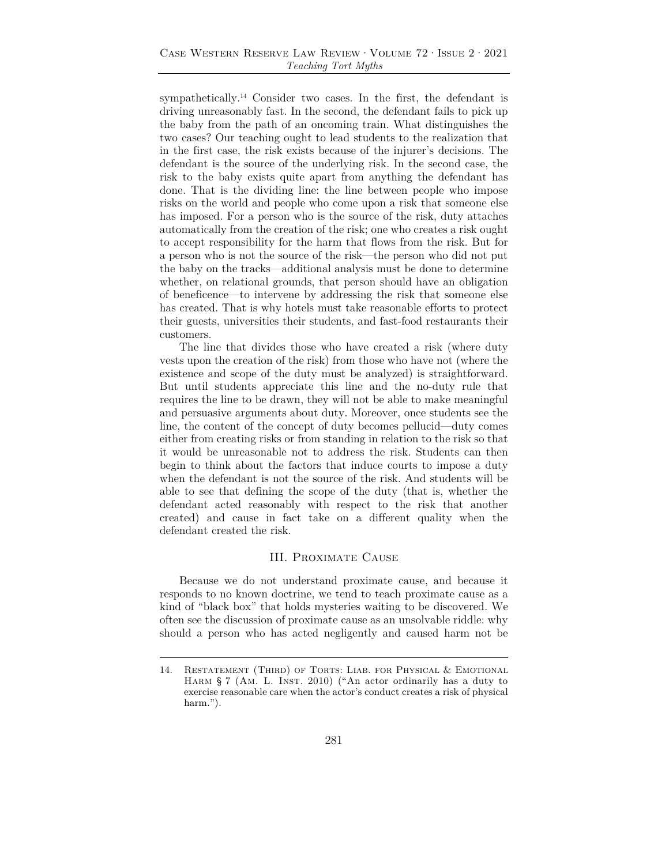sympathetically.<sup>14</sup> Consider two cases. In the first, the defendant is driving unreasonably fast. In the second, the defendant fails to pick up the baby from the path of an oncoming train. What distinguishes the two cases? Our teaching ought to lead students to the realization that in the first case, the risk exists because of the injurer's decisions. The defendant is the source of the underlying risk. In the second case, the risk to the baby exists quite apart from anything the defendant has done. That is the dividing line: the line between people who impose risks on the world and people who come upon a risk that someone else has imposed. For a person who is the source of the risk, duty attaches automatically from the creation of the risk; one who creates a risk ought to accept responsibility for the harm that flows from the risk. But for a person who is not the source of the risk—the person who did not put the baby on the tracks—additional analysis must be done to determine whether, on relational grounds, that person should have an obligation of beneficence—to intervene by addressing the risk that someone else has created. That is why hotels must take reasonable efforts to protect their guests, universities their students, and fast-food restaurants their customers.

The line that divides those who have created a risk (where duty vests upon the creation of the risk) from those who have not (where the existence and scope of the duty must be analyzed) is straightforward. But until students appreciate this line and the no-duty rule that requires the line to be drawn, they will not be able to make meaningful and persuasive arguments about duty. Moreover, once students see the line, the content of the concept of duty becomes pellucid—duty comes either from creating risks or from standing in relation to the risk so that it would be unreasonable not to address the risk. Students can then begin to think about the factors that induce courts to impose a duty when the defendant is not the source of the risk. And students will be able to see that defining the scope of the duty (that is, whether the defendant acted reasonably with respect to the risk that another created) and cause in fact take on a different quality when the defendant created the risk.

### III. Proximate Cause

Because we do not understand proximate cause, and because it responds to no known doctrine, we tend to teach proximate cause as a kind of "black box" that holds mysteries waiting to be discovered. We often see the discussion of proximate cause as an unsolvable riddle: why should a person who has acted negligently and caused harm not be

<sup>14.</sup> RESTATEMENT (THIRD) OF TORTS: LIAB. FOR PHYSICAL & EMOTIONAL HARM § 7 (AM. L. INST. 2010) ("An actor ordinarily has a duty to exercise reasonable care when the actor's conduct creates a risk of physical harm.").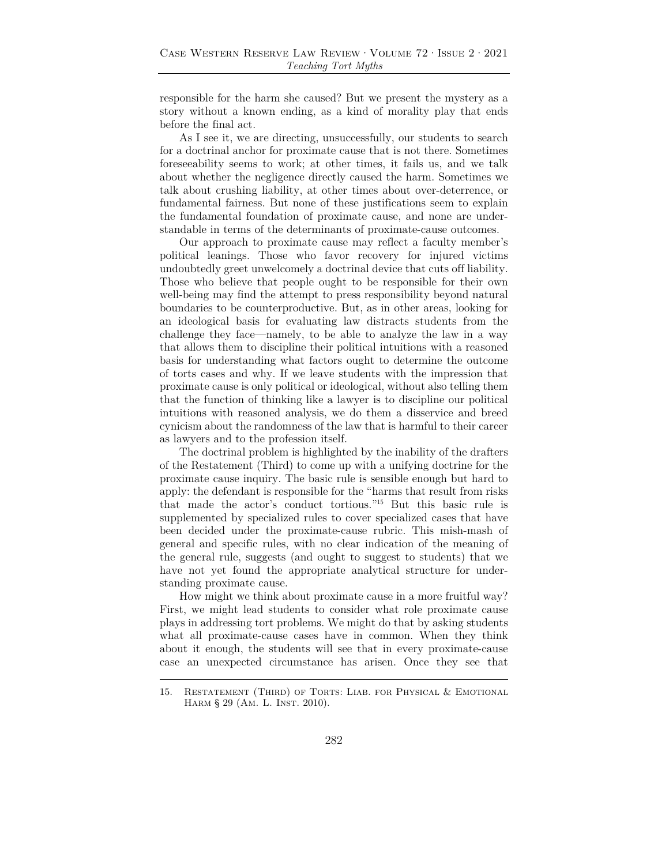responsible for the harm she caused? But we present the mystery as a story without a known ending, as a kind of morality play that ends before the final act.

As I see it, we are directing, unsuccessfully, our students to search for a doctrinal anchor for proximate cause that is not there. Sometimes foreseeability seems to work; at other times, it fails us, and we talk about whether the negligence directly caused the harm. Sometimes we talk about crushing liability, at other times about over-deterrence, or fundamental fairness. But none of these justifications seem to explain the fundamental foundation of proximate cause, and none are understandable in terms of the determinants of proximate-cause outcomes.

Our approach to proximate cause may reflect a faculty member's political leanings. Those who favor recovery for injured victims undoubtedly greet unwelcomely a doctrinal device that cuts off liability. Those who believe that people ought to be responsible for their own well-being may find the attempt to press responsibility beyond natural boundaries to be counterproductive. But, as in other areas, looking for an ideological basis for evaluating law distracts students from the challenge they face—namely, to be able to analyze the law in a way that allows them to discipline their political intuitions with a reasoned basis for understanding what factors ought to determine the outcome of torts cases and why. If we leave students with the impression that proximate cause is only political or ideological, without also telling them that the function of thinking like a lawyer is to discipline our political intuitions with reasoned analysis, we do them a disservice and breed cynicism about the randomness of the law that is harmful to their career as lawyers and to the profession itself.

The doctrinal problem is highlighted by the inability of the drafters of the Restatement (Third) to come up with a unifying doctrine for the proximate cause inquiry. The basic rule is sensible enough but hard to apply: the defendant is responsible for the "harms that result from risks that made the actor's conduct tortious."15 But this basic rule is supplemented by specialized rules to cover specialized cases that have been decided under the proximate-cause rubric. This mish-mash of general and specific rules, with no clear indication of the meaning of the general rule, suggests (and ought to suggest to students) that we have not yet found the appropriate analytical structure for understanding proximate cause.

How might we think about proximate cause in a more fruitful way? First, we might lead students to consider what role proximate cause plays in addressing tort problems. We might do that by asking students what all proximate-cause cases have in common. When they think about it enough, the students will see that in every proximate-cause case an unexpected circumstance has arisen. Once they see that

<sup>15.</sup> RESTATEMENT (THIRD) OF TORTS: LIAB. FOR PHYSICAL & EMOTIONAL HARM § 29 (AM. L. INST. 2010).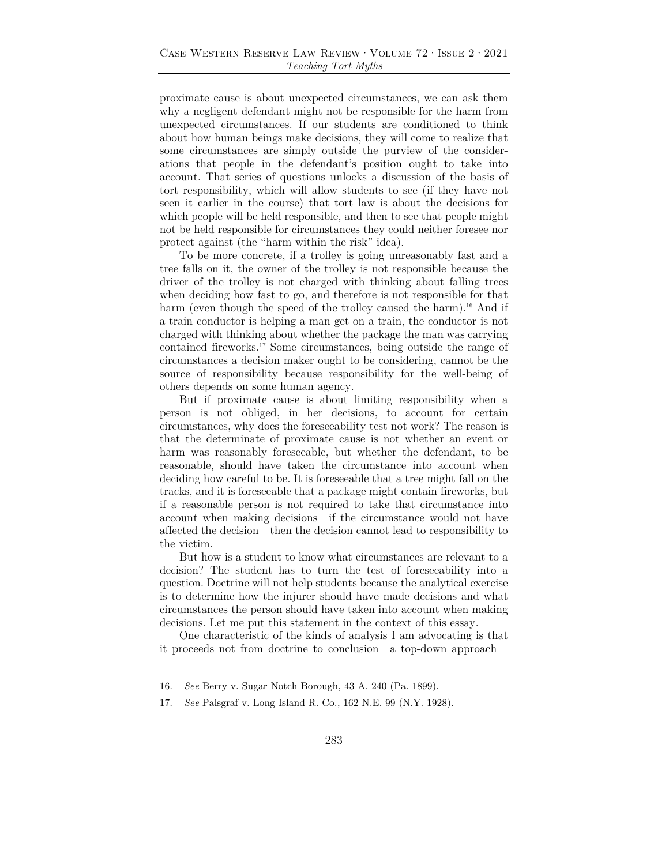proximate cause is about unexpected circumstances, we can ask them why a negligent defendant might not be responsible for the harm from unexpected circumstances. If our students are conditioned to think about how human beings make decisions, they will come to realize that some circumstances are simply outside the purview of the considerations that people in the defendant's position ought to take into account. That series of questions unlocks a discussion of the basis of tort responsibility, which will allow students to see (if they have not seen it earlier in the course) that tort law is about the decisions for which people will be held responsible, and then to see that people might not be held responsible for circumstances they could neither foresee nor protect against (the "harm within the risk" idea).

To be more concrete, if a trolley is going unreasonably fast and a tree falls on it, the owner of the trolley is not responsible because the driver of the trolley is not charged with thinking about falling trees when deciding how fast to go, and therefore is not responsible for that harm (even though the speed of the trolley caused the harm).<sup>16</sup> And if a train conductor is helping a man get on a train, the conductor is not charged with thinking about whether the package the man was carrying contained fireworks.17 Some circumstances, being outside the range of circumstances a decision maker ought to be considering, cannot be the source of responsibility because responsibility for the well-being of others depends on some human agency.

But if proximate cause is about limiting responsibility when a person is not obliged, in her decisions, to account for certain circumstances, why does the foreseeability test not work? The reason is that the determinate of proximate cause is not whether an event or harm was reasonably foreseeable, but whether the defendant, to be reasonable, should have taken the circumstance into account when deciding how careful to be. It is foreseeable that a tree might fall on the tracks, and it is foreseeable that a package might contain fireworks, but if a reasonable person is not required to take that circumstance into account when making decisions—if the circumstance would not have affected the decision—then the decision cannot lead to responsibility to the victim.

But how is a student to know what circumstances are relevant to a decision? The student has to turn the test of foreseeability into a question. Doctrine will not help students because the analytical exercise is to determine how the injurer should have made decisions and what circumstances the person should have taken into account when making decisions. Let me put this statement in the context of this essay.

One characteristic of the kinds of analysis I am advocating is that it proceeds not from doctrine to conclusion—a top-down approach—

<sup>16.</sup> *See* Berry v. Sugar Notch Borough, 43 A. 240 (Pa. 1899).

<sup>17.</sup> *See* Palsgraf v. Long Island R. Co., 162 N.E. 99 (N.Y. 1928).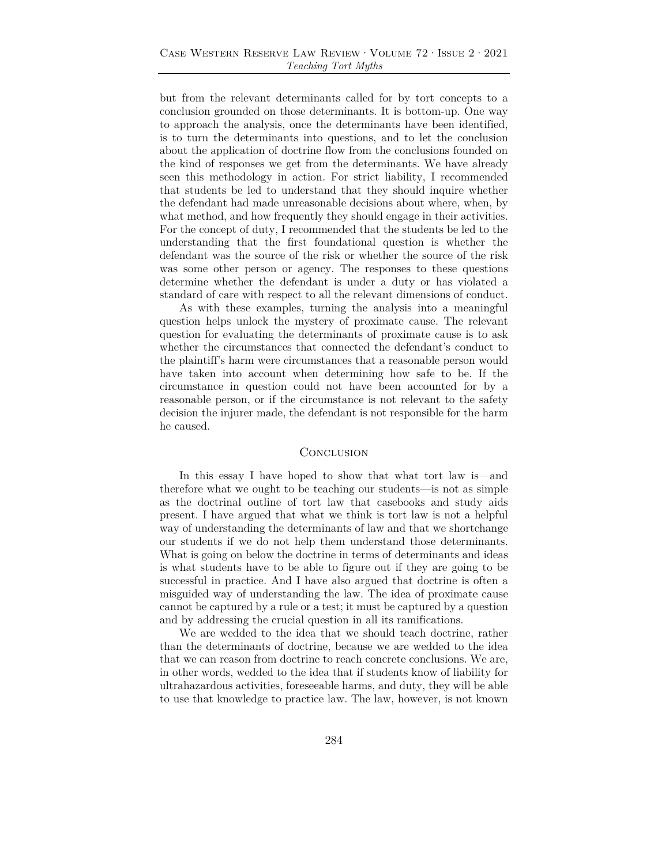but from the relevant determinants called for by tort concepts to a conclusion grounded on those determinants. It is bottom-up. One way to approach the analysis, once the determinants have been identified, is to turn the determinants into questions, and to let the conclusion about the application of doctrine flow from the conclusions founded on the kind of responses we get from the determinants. We have already seen this methodology in action. For strict liability, I recommended that students be led to understand that they should inquire whether the defendant had made unreasonable decisions about where, when, by what method, and how frequently they should engage in their activities. For the concept of duty, I recommended that the students be led to the understanding that the first foundational question is whether the defendant was the source of the risk or whether the source of the risk was some other person or agency. The responses to these questions determine whether the defendant is under a duty or has violated a standard of care with respect to all the relevant dimensions of conduct.

As with these examples, turning the analysis into a meaningful question helps unlock the mystery of proximate cause. The relevant question for evaluating the determinants of proximate cause is to ask whether the circumstances that connected the defendant's conduct to the plaintiff's harm were circumstances that a reasonable person would have taken into account when determining how safe to be. If the circumstance in question could not have been accounted for by a reasonable person, or if the circumstance is not relevant to the safety decision the injurer made, the defendant is not responsible for the harm he caused.

#### **CONCLUSION**

In this essay I have hoped to show that what tort law is—and therefore what we ought to be teaching our students—is not as simple as the doctrinal outline of tort law that casebooks and study aids present. I have argued that what we think is tort law is not a helpful way of understanding the determinants of law and that we shortchange our students if we do not help them understand those determinants. What is going on below the doctrine in terms of determinants and ideas is what students have to be able to figure out if they are going to be successful in practice. And I have also argued that doctrine is often a misguided way of understanding the law. The idea of proximate cause cannot be captured by a rule or a test; it must be captured by a question and by addressing the crucial question in all its ramifications.

We are wedded to the idea that we should teach doctrine, rather than the determinants of doctrine, because we are wedded to the idea that we can reason from doctrine to reach concrete conclusions. We are, in other words, wedded to the idea that if students know of liability for ultrahazardous activities, foreseeable harms, and duty, they will be able to use that knowledge to practice law. The law, however, is not known